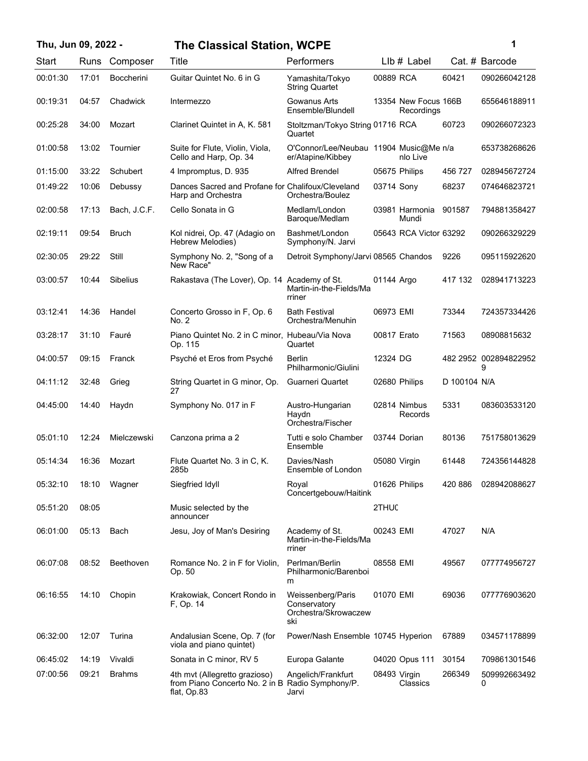## **Thu, Jun 09, 2022 - 1 The Classical Station, WCPE**

| ï |  |  |
|---|--|--|
| I |  |  |

| Start    | Runs  | Composer          | Title                                                                                            | Performers                                                       |              | $Llb#$ Label                       |              | Cat. # Barcode             |
|----------|-------|-------------------|--------------------------------------------------------------------------------------------------|------------------------------------------------------------------|--------------|------------------------------------|--------------|----------------------------|
| 00:01:30 | 17:01 | <b>Boccherini</b> | Guitar Quintet No. 6 in G                                                                        | Yamashita/Tokyo<br><b>String Quartet</b>                         | 00889 RCA    |                                    | 60421        | 090266042128               |
| 00:19:31 | 04:57 | Chadwick          | Intermezzo                                                                                       | Gowanus Arts<br>Ensemble/Blundell                                |              | 13354 New Focus 166B<br>Recordings |              | 655646188911               |
| 00:25:28 | 34:00 | Mozart            | Clarinet Quintet in A, K. 581                                                                    | Stoltzman/Tokyo String 01716 RCA<br>Quartet                      |              |                                    | 60723        | 090266072323               |
| 01:00:58 | 13:02 | Tournier          | Suite for Flute, Violin, Viola,<br>Cello and Harp, Op. 34                                        | O'Connor/Lee/Neubau 11904 Music@Me n/a<br>er/Atapine/Kibbey      |              | nlo Live                           |              | 653738268626               |
| 01:15:00 | 33:22 | Schubert          | 4 Impromptus, D. 935                                                                             | <b>Alfred Brendel</b>                                            |              | 05675 Philips                      | 456 727      | 028945672724               |
| 01:49:22 | 10:06 | Debussy           | Dances Sacred and Profane for Chalifoux/Cleveland<br>Harp and Orchestra                          | Orchestra/Boulez                                                 | 03714 Sony   |                                    | 68237        | 074646823721               |
| 02:00:58 | 17:13 | Bach, J.C.F.      | Cello Sonata in G                                                                                | Medlam/London<br>Baroque/Medlam                                  |              | 03981 Harmonia<br>Mundi            | 901587       | 794881358427               |
| 02:19:11 | 09:54 | <b>Bruch</b>      | Kol nidrei, Op. 47 (Adagio on<br>Hebrew Melodies)                                                | Bashmet/London<br>Symphony/N. Jarvi                              |              | 05643 RCA Victor 63292             |              | 090266329229               |
| 02:30:05 | 29:22 | Still             | Symphony No. 2, "Song of a<br>New Race"                                                          | Detroit Symphony/Jarvi 08565 Chandos                             |              |                                    | 9226         | 095115922620               |
| 03:00:57 | 10:44 | Sibelius          | Rakastava (The Lover), Op. 14 Academy of St.                                                     | Martin-in-the-Fields/Ma<br>rriner                                | 01144 Argo   |                                    | 417 132      | 028941713223               |
| 03:12:41 | 14:36 | Handel            | Concerto Grosso in F, Op. 6<br>No. 2                                                             | <b>Bath Festival</b><br>Orchestra/Menuhin                        | 06973 EMI    |                                    | 73344        | 724357334426               |
| 03:28:17 | 31:10 | Fauré             | Piano Quintet No. 2 in C minor, Hubeau/Via Nova<br>Op. 115                                       | Quartet                                                          | 00817 Erato  |                                    | 71563        | 08908815632                |
| 04:00:57 | 09:15 | Franck            | Psyché et Eros from Psyché                                                                       | Berlin<br>Philharmonic/Giulini                                   | 12324 DG     |                                    |              | 482 2952 002894822952<br>Й |
| 04:11:12 | 32:48 | Grieg             | String Quartet in G minor, Op.<br>27                                                             | Guarneri Quartet                                                 |              | 02680 Philips                      | D 100104 N/A |                            |
| 04:45:00 | 14:40 | Haydn             | Symphony No. 017 in F                                                                            | Austro-Hungarian<br>Haydn<br>Orchestra/Fischer                   |              | 02814 Nimbus<br>Records            | 5331         | 083603533120               |
| 05:01:10 | 12:24 | Mielczewski       | Canzona prima a 2                                                                                | Tutti e solo Chamber<br>Ensemble                                 |              | 03744 Dorian                       | 80136        | 751758013629               |
| 05:14:34 | 16:36 | Mozart            | Flute Quartet No. 3 in C, K.<br>285b                                                             | Davies/Nash<br>Ensemble of London                                | 05080 Virgin |                                    | 61448        | 724356144828               |
| 05:32:10 | 18:10 | Wagner            | Siegfried Idyll                                                                                  | Royal<br>Concertgebouw/Haitink                                   |              | 01626 Philips                      | 420 886      | 028942088627               |
| 05:51:20 | 08:05 |                   | Music selected by the<br>announcer                                                               |                                                                  | 2THUC        |                                    |              |                            |
| 06:01:00 | 05:13 | Bach              | Jesu, Joy of Man's Desiring                                                                      | Academy of St.<br>Martin-in-the-Fields/Ma<br>rriner              | 00243 EMI    |                                    | 47027        | N/A                        |
| 06:07:08 | 08:52 | Beethoven         | Romance No. 2 in F for Violin,<br>Op. 50                                                         | Perlman/Berlin<br>Philharmonic/Barenboi<br>m                     | 08558 EMI    |                                    | 49567        | 077774956727               |
| 06:16:55 | 14:10 | Chopin            | Krakowiak, Concert Rondo in<br>F, Op. 14                                                         | Weissenberg/Paris<br>Conservatory<br>Orchestra/Skrowaczew<br>ski | 01070 EMI    |                                    | 69036        | 077776903620               |
| 06:32:00 | 12:07 | Turina            | Andalusian Scene, Op. 7 (for<br>viola and piano quintet)                                         | Power/Nash Ensemble 10745 Hyperion                               |              |                                    | 67889        | 034571178899               |
| 06:45:02 | 14:19 | Vivaldi           | Sonata in C minor, RV 5                                                                          | Europa Galante                                                   |              | 04020 Opus 111                     | 30154        | 709861301546               |
| 07:00:56 | 09:21 | <b>Brahms</b>     | 4th mvt (Allegretto grazioso)<br>from Piano Concerto No. 2 in B Radio Symphony/P.<br>flat, Op.83 | Angelich/Frankfurt<br>Jarvi                                      | 08493 Virgin | Classics                           | 266349       | 509992663492<br>0          |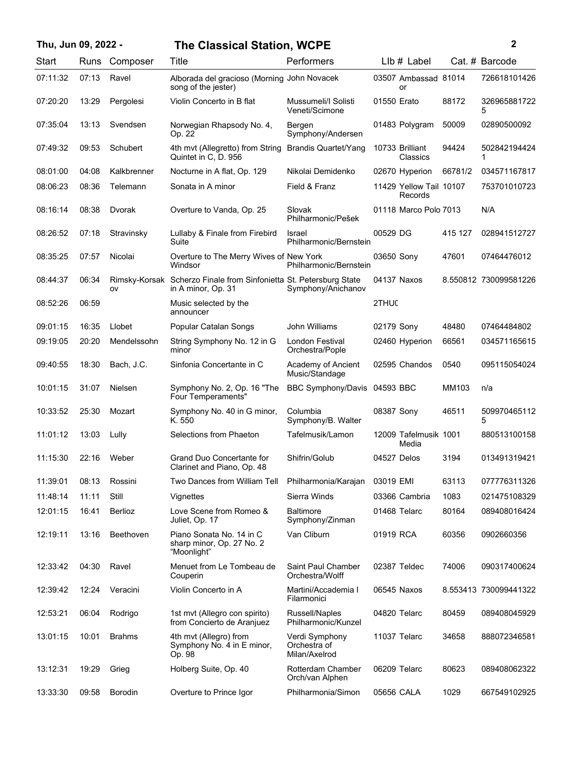| Thu, Jun 09, 2022 - |       |                | <b>The Classical Station, WCPE</b>                                                       |                                                 |             |                                    |         | 2                     |
|---------------------|-------|----------------|------------------------------------------------------------------------------------------|-------------------------------------------------|-------------|------------------------------------|---------|-----------------------|
| Start               | Runs  | Composer       | Title                                                                                    | Performers                                      |             | $Llb#$ Label                       |         | Cat. # Barcode        |
| 07:11:32            | 07:13 | Ravel          | Alborada del gracioso (Morning John Novacek<br>song of the jester)                       |                                                 |             | 03507 Ambassad 81014<br>or         |         | 726618101426          |
| 07:20:20            | 13:29 | Pergolesi      | Violin Concerto in B flat                                                                | Mussumeli/I Solisti<br>Veneti/Scimone           | 01550 Erato |                                    | 88172   | 326965881722<br>5     |
| 07:35:04            | 13:13 | Svendsen       | Norwegian Rhapsody No. 4,<br>Op. 22                                                      | Bergen<br>Symphony/Andersen                     |             | 01483 Polygram                     | 50009   | 02890500092           |
| 07:49:32            | 09:53 | Schubert       | 4th mvt (Allegretto) from String<br>Quintet in C, D. 956                                 | <b>Brandis Quartet/Yang</b>                     |             | 10733 Brilliant<br>Classics        | 94424   | 502842194424<br>1     |
| 08:01:00            | 04:08 | Kalkbrenner    | Nocturne in A flat, Op. 129                                                              | Nikolai Demidenko                               |             | 02670 Hyperion                     | 66781/2 | 034571167817          |
| 08:06:23            | 08:36 | Telemann       | Sonata in A minor                                                                        | Field & Franz                                   |             | 11429 Yellow Tail 10107<br>Records |         | 753701010723          |
| 08:16:14            | 08:38 | Dvorak         | Overture to Vanda, Op. 25                                                                | Slovak<br>Philharmonic/Pešek                    |             | 01118 Marco Polo 7013              |         | N/A                   |
| 08:26:52            | 07:18 | Stravinsky     | Lullaby & Finale from Firebird<br>Suite                                                  | Israel<br>Philharmonic/Bernstein                | 00529 DG    |                                    | 415 127 | 028941512727          |
| 08:35:25            | 07:57 | Nicolai        | Overture to The Merry Wives of New York<br>Windsor                                       | Philharmonic/Bernstein                          | 03650 Sony  |                                    | 47601   | 07464476012           |
| 08:44:37            | 06:34 | OV             | Rimsky-Korsak Scherzo Finale from Sinfonietta St. Petersburg State<br>in A minor, Op. 31 | Symphony/Anichanov                              |             | 04137 Naxos                        |         | 8.550812 730099581226 |
| 08:52:26            | 06:59 |                | Music selected by the<br>announcer                                                       |                                                 | 2THUC       |                                    |         |                       |
| 09:01:15            | 16:35 | Llobet         | Popular Catalan Songs                                                                    | John Williams                                   | 02179 Sony  |                                    | 48480   | 07464484802           |
| 09:19:05            | 20:20 | Mendelssohn    | String Symphony No. 12 in G<br>minor                                                     | London Festival<br>Orchestra/Pople              |             | 02460 Hyperion                     | 66561   | 034571165615          |
| 09:40:55            | 18:30 | Bach, J.C.     | Sinfonia Concertante in C                                                                | Academy of Ancient<br>Music/Standage            |             | 02595 Chandos                      | 0540    | 095115054024          |
| 10:01:15            | 31:07 | Nielsen        | Symphony No. 2, Op. 16 "The<br>Four Temperaments"                                        | BBC Symphony/Davis 04593 BBC                    |             |                                    | MM103   | n/a                   |
| 10:33:52            | 25:30 | Mozart         | Symphony No. 40 in G minor,<br>K. 550                                                    | Columbia<br>Symphony/B. Walter                  | 08387 Sony  |                                    | 46511   | 509970465112<br>5     |
| 11:01:12            | 13:03 | Lully          | Selections from Phaeton                                                                  | Tafelmusik/Lamon                                |             | 12009 Tafelmusik 1001<br>Media     |         | 880513100158          |
| 11:15:30            | 22:16 | Weber          | Grand Duo Concertante for<br>Clarinet and Piano, Op. 48                                  | Shifrin/Golub                                   | 04527 Delos |                                    | 3194    | 013491319421          |
| 11:39:01            | 08:13 | Rossini        | Two Dances from William Tell                                                             | Philharmonia/Karajan                            | 03019 EMI   |                                    | 63113   | 077776311326          |
| 11:48:14            | 11:11 | Still          | Vignettes                                                                                | Sierra Winds                                    |             | 03366 Cambria                      | 1083    | 021475108329          |
| 12:01:15            | 16:41 | Berlioz        | Love Scene from Romeo &<br>Juliet, Op. 17                                                | Baltimore<br>Symphony/Zinman                    |             | 01468 Telarc                       | 80164   | 089408016424          |
| 12:19:11            | 13:16 | Beethoven      | Piano Sonata No. 14 in C<br>sharp minor, Op. 27 No. 2<br>"Moonlight"                     | Van Cliburn                                     | 01919 RCA   |                                    | 60356   | 0902660356            |
| 12:33:42            | 04:30 | Ravel          | Menuet from Le Tombeau de<br>Couperin                                                    | Saint Paul Chamber<br>Orchestra/Wolff           |             | 02387 Teldec                       | 74006   | 090317400624          |
| 12:39:42            | 12:24 | Veracini       | Violin Concerto in A                                                                     | Martini/Accademia I<br>Filarmonici              |             | 06545 Naxos                        |         | 8.553413 730099441322 |
| 12:53:21            | 06:04 | Rodrigo        | 1st mvt (Allegro con spirito)<br>from Concierto de Aranjuez                              | Russell/Naples<br>Philharmonic/Kunzel           |             | 04820 Telarc                       | 80459   | 089408045929          |
| 13:01:15            | 10:01 | <b>Brahms</b>  | 4th mvt (Allegro) from<br>Symphony No. 4 in E minor,<br>Op. 98                           | Verdi Symphony<br>Orchestra of<br>Milan/Axelrod |             | 11037 Telarc                       | 34658   | 888072346581          |
| 13:12:31            | 19:29 | Grieg          | Holberg Suite, Op. 40                                                                    | Rotterdam Chamber<br>Orch/van Alphen            |             | 06209 Telarc                       | 80623   | 089408062322          |
| 13:33:30            | 09:58 | <b>Borodin</b> | Overture to Prince Igor                                                                  | Philharmonia/Simon                              | 05656 CALA  |                                    | 1029    | 667549102925          |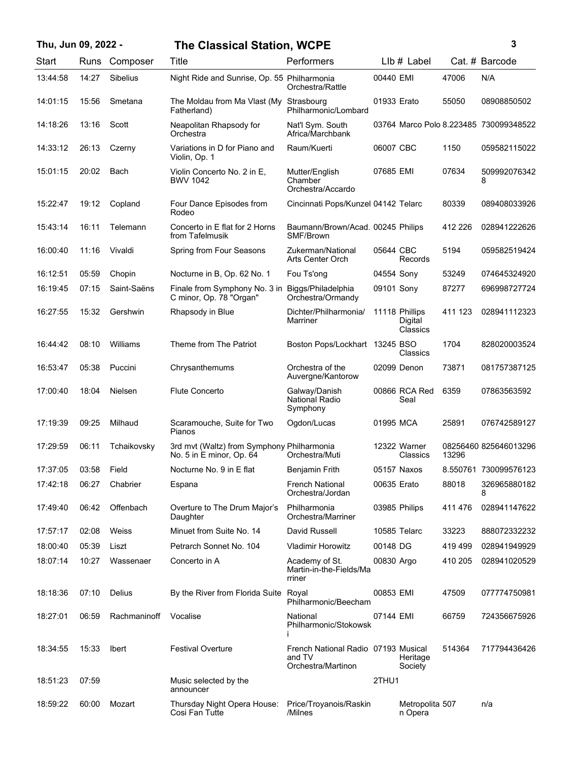| Thu, Jun 09, 2022 - |       |                 | <b>The Classical Station, WCPE</b>                                          |                                                                     |             |                                       |         | 3                                      |
|---------------------|-------|-----------------|-----------------------------------------------------------------------------|---------------------------------------------------------------------|-------------|---------------------------------------|---------|----------------------------------------|
| Start               | Runs  | Composer        | Title                                                                       | Performers                                                          |             | LIb # Label                           |         | Cat. # Barcode                         |
| 13:44:58            | 14:27 | <b>Sibelius</b> | Night Ride and Sunrise, Op. 55 Philharmonia                                 | Orchestra/Rattle                                                    | 00440 EMI   |                                       | 47006   | N/A                                    |
| 14:01:15            | 15:56 | Smetana         | The Moldau from Ma Vlast (My<br>Fatherland)                                 | Strasbourg<br>Philharmonic/Lombard                                  | 01933 Erato |                                       | 55050   | 08908850502                            |
| 14:18:26            | 13:16 | Scott           | Neapolitan Rhapsody for<br>Orchestra                                        | Nat'l Sym. South<br>Africa/Marchbank                                |             |                                       |         | 03764 Marco Polo 8.223485 730099348522 |
| 14:33:12            | 26:13 | Czerny          | Variations in D for Piano and<br>Violin, Op. 1                              | Raum/Kuerti                                                         | 06007 CBC   |                                       | 1150    | 059582115022                           |
| 15:01:15            | 20:02 | Bach            | Violin Concerto No. 2 in E.<br><b>BWV 1042</b>                              | Mutter/English<br>Chamber<br>Orchestra/Accardo                      | 07685 EMI   |                                       | 07634   | 509992076342<br>8                      |
| 15:22:47            | 19:12 | Copland         | Four Dance Episodes from<br>Rodeo                                           | Cincinnati Pops/Kunzel 04142 Telarc                                 |             |                                       | 80339   | 089408033926                           |
| 15:43:14            | 16:11 | Telemann        | Concerto in E flat for 2 Horns<br>from Tafelmusik                           | Baumann/Brown/Acad. 00245 Philips<br>SMF/Brown                      |             |                                       | 412 226 | 028941222626                           |
| 16:00:40            | 11:16 | Vivaldi         | Spring from Four Seasons                                                    | Zukerman/National<br>Arts Center Orch                               | 05644 CBC   | Records                               | 5194    | 059582519424                           |
| 16:12:51            | 05:59 | Chopin          | Nocturne in B, Op. 62 No. 1                                                 | Fou Ts'ong                                                          | 04554 Sony  |                                       | 53249   | 074645324920                           |
| 16:19:45            | 07:15 | Saint-Saëns     | Finale from Symphony No. 3 in Biggs/Philadelphia<br>C minor, Op. 78 "Organ" | Orchestra/Ormandy                                                   | 09101 Sony  |                                       | 87277   | 696998727724                           |
| 16:27:55            | 15:32 | Gershwin        | Rhapsody in Blue                                                            | Dichter/Philharmonia/<br>Marriner                                   |             | 11118 Phillips<br>Digital<br>Classics | 411 123 | 028941112323                           |
| 16:44:42            | 08:10 | Williams        | Theme from The Patriot                                                      | Boston Pops/Lockhart 13245 BSO                                      |             | Classics                              | 1704    | 828020003524                           |
| 16:53:47            | 05:38 | Puccini         | Chrysanthemums                                                              | Orchestra of the<br>Auvergne/Kantorow                               |             | 02099 Denon                           | 73871   | 081757387125                           |
| 17:00:40            | 18:04 | <b>Nielsen</b>  | <b>Flute Concerto</b>                                                       | Galway/Danish<br><b>National Radio</b><br>Symphony                  |             | 00866 RCA Red<br>Seal                 | 6359    | 07863563592                            |
| 17:19:39            | 09:25 | Milhaud         | Scaramouche, Suite for Two<br>Pianos                                        | Ogdon/Lucas                                                         | 01995 MCA   |                                       | 25891   | 076742589127                           |
| 17:29:59            | 06:11 | Tchaikovsky     | 3rd mvt (Waltz) from Symphony Philharmonia<br>No. 5 in E minor, Op. 64      | Orchestra/Muti                                                      |             | 12322 Warner<br>Classics              | 13296   | 08256460 825646013296                  |
| 17:37:05            | 03:58 | Field           | Nocturne No. 9 in E flat                                                    | Benjamin Frith                                                      |             | 05157 Naxos                           |         | 8.550761 730099576123                  |
| 17:42:18            | 06:27 | Chabrier        | Espana                                                                      | <b>French National</b><br>Orchestra/Jordan                          | 00635 Erato |                                       | 88018   | 326965880182<br>8                      |
| 17:49:40            | 06:42 | Offenbach       | Overture to The Drum Major's<br>Daughter                                    | Philharmonia<br>Orchestra/Marriner                                  |             | 03985 Philips                         | 411476  | 028941147622                           |
| 17:57:17            | 02:08 | Weiss           | Minuet from Suite No. 14                                                    | David Russell                                                       |             | 10585 Telarc                          | 33223   | 888072332232                           |
| 18:00:40            | 05:39 | Liszt           | Petrarch Sonnet No. 104                                                     | Vladimir Horowitz                                                   | 00148 DG    |                                       | 419 499 | 028941949929                           |
| 18:07:14            | 10:27 | Wassenaer       | Concerto in A                                                               | Academy of St.<br>Martin-in-the-Fields/Ma<br>rriner                 | 00830 Argo  |                                       | 410 205 | 028941020529                           |
| 18:18:36            | 07:10 | Delius          | By the River from Florida Suite Royal                                       | Philharmonic/Beecham                                                | 00853 EMI   |                                       | 47509   | 077774750981                           |
| 18:27:01            | 06:59 | Rachmaninoff    | Vocalise                                                                    | National<br>Philharmonic/Stokowsk                                   | 07144 EMI   |                                       | 66759   | 724356675926                           |
| 18:34:55            | 15:33 | <b>Ibert</b>    | <b>Festival Overture</b>                                                    | French National Radio 07193 Musical<br>and TV<br>Orchestra/Martinon |             | Heritage<br>Society                   | 514364  | 717794436426                           |
| 18:51:23            | 07:59 |                 | Music selected by the<br>announcer                                          |                                                                     | 2THU1       |                                       |         |                                        |
| 18:59:22            | 60:00 | Mozart          | Thursday Night Opera House:<br>Cosi Fan Tutte                               | Price/Troyanois/Raskin<br>/Milnes                                   |             | Metropolita 507<br>n Opera            |         | n/a                                    |